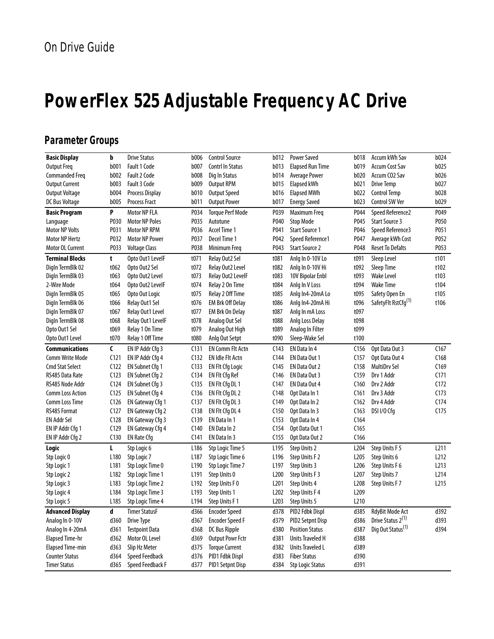# **PowerFlex 525 Adjustable Frequency AC Drive**

# **Parameter Groups**

| <b>Basic Display</b>    | þ                | <b>Drive Status</b>     | <b>b006</b>      | <b>Control Source</b>   | b012             | <b>Power Saved</b>      | b018             | Accum kWh Sav                   | b024             |
|-------------------------|------------------|-------------------------|------------------|-------------------------|------------------|-------------------------|------------------|---------------------------------|------------------|
| <b>Output Freq</b>      | b001             | <b>Fault 1 Code</b>     | b007             | Contrl In Status        | b013             | <b>Elapsed Run Time</b> | b019             | <b>Accum Cost Sav</b>           | b025             |
| <b>Commanded Freq</b>   | b002             | <b>Fault 2 Code</b>     | <b>b008</b>      | Dig In Status           | b014             | <b>Average Power</b>    | b020             | Accum CO <sub>2</sub> Sav       | b026             |
| <b>Output Current</b>   | b003             | <b>Fault 3 Code</b>     | b009             | <b>Output RPM</b>       | b015             | Elapsed kWh             | b021             | <b>Drive Temp</b>               | b027             |
| <b>Output Voltage</b>   | b004             | Process Display         | b010             | <b>Output Speed</b>     | b016             | <b>Elapsed MWh</b>      | b022             | <b>Control Temp</b>             | b028             |
| DC Bus Voltage          | b005             | <b>Process Fract</b>    | b011             | <b>Output Power</b>     | b017             | <b>Energy Saved</b>     | b023             | Control SW Ver                  | b029             |
| <b>Basic Program</b>    | P                | Motor NP FLA            | P034             | <b>Torque Perf Mode</b> | P039             | Maximum Freq            | P044             | Speed Reference2                | P049             |
| Language                | P030             | <b>Motor NP Poles</b>   | P035             | Autotune                | P040             | <b>Stop Mode</b>        | P045             | <b>Start Source 3</b>           | P050             |
| <b>Motor NP Volts</b>   | P031             | <b>Motor NP RPM</b>     | P036             | Accel Time 1            | P041             | <b>Start Source 1</b>   | P046             | Speed Reference3                | P051             |
| Motor NP Hertz          | P032             | <b>Motor NP Power</b>   | P037             | Decel Time 1            | P042             | Speed Reference1        | P047             | Average kWh Cost                | P052             |
| Motor OL Current        | P033             | <b>Voltage Class</b>    | P038             | Minimum Freq            | P043             | <b>Start Source 2</b>   | P048             | <b>Reset To Defalts</b>         | P053             |
| <b>Terminal Blocks</b>  | t                | Opto Out1 LevelF        | t071             | Relay Out2 Sel          | t081             | Anlg In 0-10V Lo        | t091             | Sleep Level                     | t101             |
| DigIn TermBlk 02        | t062             | Opto Out2 Sel           | t072             | Relay Out2 Level        | t082             | Anlg In 0-10V Hi        | t092             | Sleep Time                      | t102             |
| DigIn TermBlk 03        | t063             | Opto Out2 Level         | t073             | Relay Out2 LevelF       | t083             | 10V Bipolar Enbl        | t093             | <b>Wake Level</b>               | t103             |
| 2-Wire Mode             | t064             | Opto Out2 LevelF        | t074             | Relay 2 On Time         | t084             | Anlg In V Loss          | t094             | <b>Wake Time</b>                | t104             |
| DigIn TermBlk 05        | t065             | Opto Out Logic          | t075             | Relay 2 Off Time        | t085             | Anlg In4-20mA Lo        | t095             | Safety Open En                  | t105             |
| Digln TermBlk 06        | t066             | Relay Out1 Sel          | t076             | <b>EM Brk Off Delay</b> | t086             | Anlg In4-20mA Hi        | t096             | SafetyFlt RstCfg <sup>(1)</sup> | t106             |
| DigIn TermBlk 07        | t067             | Relay Out1 Level        | t077             | EM Brk On Delay         | t087             | Anlg In mA Loss         | t097             |                                 |                  |
| Digln TermBlk 08        | t068             | Relay Out1 LevelF       | t078             | Analog Out Sel          | t088             | Anlg Loss Delay         | t098             |                                 |                  |
| Opto Out1 Sel           | t069             | Relay 1 On Time         | t079             | Analog Out High         | t089             | Analog In Filter        | t099             |                                 |                  |
| Opto Out1 Level         | t070             | Relay 1 Off Time        | t080             | Anlg Out Setpt          | t090             | Sleep-Wake Sel          | t100             |                                 |                  |
| <b>Communications</b>   | C                | EN IP Addr Cfg 3        | C131             | <b>EN Comm Flt Actn</b> | C143             | EN Data In 4            | C <sub>156</sub> | Opt Data Out 3                  | C167             |
| <b>Comm Write Mode</b>  | C121             | EN IP Addr Cfg 4        | C <sub>132</sub> | <b>EN Idle Fit Actn</b> | C144             | EN Data Out 1           | C <sub>157</sub> | Opt Data Out 4                  | C168             |
| <b>Cmd Stat Select</b>  | C122             | EN Subnet Cfg 1         | C133             | <b>EN FIt Cfg Logic</b> | C <sub>145</sub> | EN Data Out 2           | C <sub>158</sub> | <b>MultiDrv Sel</b>             | C169             |
| RS485 Data Rate         | C123             | EN Subnet Cfg 2         | C <sub>134</sub> | EN FIt Cfg Ref          | C <sub>146</sub> | EN Data Out 3           | C159             | Drv 1 Addr                      | C171             |
| RS485 Node Addr         | C124             | EN Subnet Cfg 3         | C <sub>135</sub> | EN FIt Cfg DL 1         | C147             | EN Data Out 4           | C <sub>160</sub> | Drv 2 Addr                      | C172             |
| <b>Comm Loss Action</b> | C125             | EN Subnet Cfg 4         | C <sub>136</sub> | EN FIt Cfg DL 2         | C <sub>148</sub> | Opt Data In 1           | C161             | Drv 3 Addr                      | C173             |
| Comm Loss Time          | C126             | EN Gateway Cfg 1        | C <sub>137</sub> | EN Flt Cfg DL 3         | C <sub>149</sub> | Opt Data In 2           | C162             | Drv 4 Addr                      | C <sub>174</sub> |
| RS485 Format            | C127             | EN Gateway Cfg 2        | C138             | EN Flt Cfg DL 4         | C <sub>150</sub> | Opt Data In 3           | C163             | DSI I/O Cfq                     | C175             |
| EN Addr Sel             | C128             | EN Gateway Cfg 3        | C <sub>139</sub> | EN Data In 1            | C <sub>153</sub> | Opt Data In 4           | C164             |                                 |                  |
| EN IP Addr Cfg 1        | C129             | EN Gateway Cfg 4        | C <sub>140</sub> | EN Data In 2            | C <sub>154</sub> | Opt Data Out 1          | C165             |                                 |                  |
| EN IP Addr Cfg 2        | C130             | <b>EN Rate Cfg</b>      | C <sub>141</sub> | EN Data In 3            | C <sub>155</sub> | Opt Data Out 2          | C <sub>166</sub> |                                 |                  |
| Logic                   | L                | Stp Logic 6             | L <sub>186</sub> | Stp Logic Time 5        | L <sub>195</sub> | Step Units 2            | L <sub>204</sub> | Step Units F 5                  | L <sub>211</sub> |
| Stp Logic 0             | L180             | Stp Logic 7             | L <sub>187</sub> | Stp Logic Time 6        | L196             | Step Units F 2          | L <sub>205</sub> | Step Units 6                    | L <sub>212</sub> |
| Stp Logic 1             | L <sub>181</sub> | Stp Logic Time 0        | L <sub>190</sub> | Stp Logic Time 7        | L <sub>197</sub> | Step Units 3            | L <sub>206</sub> | Step Units F 6                  | L <sub>213</sub> |
| Stp Logic 2             | L <sub>182</sub> | Stp Logic Time 1        | L <sub>191</sub> | Step Units 0            | L <sub>200</sub> | Step Units F 3          | L <sub>207</sub> | <b>Step Units 7</b>             | L214             |
| Stp Logic 3             | L <sub>183</sub> | Stp Logic Time 2        | L192             | Step Units F 0          | L <sub>201</sub> | <b>Step Units 4</b>     | L <sub>208</sub> | Step Units F 7                  | L <sub>215</sub> |
| Stp Logic 4             | L <sub>184</sub> | Stp Logic Time 3        | L <sub>193</sub> | <b>Step Units 1</b>     | L <sub>202</sub> | Step Units F4           | L <sub>209</sub> |                                 |                  |
| Stp Logic 5             | L <sub>185</sub> | Stp Logic Time 4        | L194             | Step Units F 1          | L <sub>203</sub> | <b>Step Units 5</b>     | L <sub>210</sub> |                                 |                  |
| <b>Advanced Display</b> | d                | <b>Timer StatusF</b>    | d366             | <b>Encoder Speed</b>    | d378             | PID2 Fdbk Displ         | d385             | RdyBit Mode Act                 | d392             |
| Analog In 0-10V         | d360             | <b>Drive Type</b>       | d367             | <b>Encoder Speed F</b>  | d379             | <b>PID2 Setpnt Disp</b> | d386             | Drive Status 2 <sup>(1)</sup>   | d393             |
| Analog In 4-20mA        | d361             | <b>Testpoint Data</b>   | d368             | DC Bus Ripple           | d380             | <b>Position Status</b>  | d387             | Dig Out Status <sup>(1)</sup>   | d394             |
| <b>Elapsed Time-hr</b>  | d362             | Motor OL Level          | d369             | <b>Output Powr Fctr</b> | d381             | <b>Units Traveled H</b> | d388             |                                 |                  |
| <b>Elapsed Time-min</b> | d363             | Slip Hz Meter           | d375             | <b>Torque Current</b>   | d382             | Units Traveled L        | d389             |                                 |                  |
| <b>Counter Status</b>   | d364             | <b>Speed Feedback</b>   | d376             | PID1 Fdbk Displ         | d383             | <b>Fiber Status</b>     | d390             |                                 |                  |
| <b>Timer Status</b>     | d365             | <b>Speed Feedback F</b> | d377             | <b>PID1 Setpnt Disp</b> | d384             | <b>Stp Logic Status</b> | d391             |                                 |                  |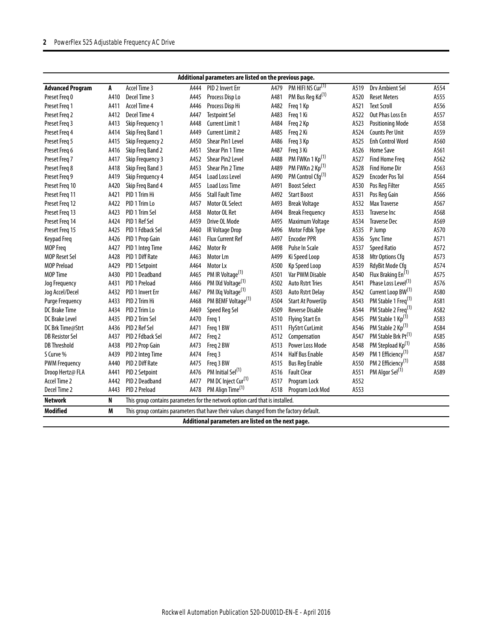| Additional parameters are listed on the previous page. |      |                         |      |                                                                                         |      |                               |      |                                 |      |
|--------------------------------------------------------|------|-------------------------|------|-----------------------------------------------------------------------------------------|------|-------------------------------|------|---------------------------------|------|
| <b>Advanced Program</b>                                | A    | Accel Time 3            | A444 | PID 2 Invert Err                                                                        | A479 | PM HIFI NS Cur <sup>(1)</sup> | A519 | Drv Ambient Sel                 | A554 |
| Preset Freg 0                                          | A410 | Decel Time 3            | A445 | Process Disp Lo                                                                         | A481 | PM Bus Reg Kd <sup>(1)</sup>  | A520 | <b>Reset Meters</b>             | A555 |
| Preset Freg 1                                          | A411 | Accel Time 4            | A446 | Process Disp Hi                                                                         | A482 | Freq 1 Kp                     | A521 | <b>Text Scroll</b>              | A556 |
| Preset Freq 2                                          | A412 | Decel Time 4            | A447 | <b>Testpoint Sel</b>                                                                    | A483 | Freq 1 Ki                     | A522 | Out Phas Loss En                | A557 |
| Preset Freg 3                                          | A413 | <b>Skip Frequency 1</b> | A448 | <b>Current Limit 1</b>                                                                  | A484 | Freq 2 Kp                     | A523 | <b>Positioning Mode</b>         | A558 |
| Preset Freg 4                                          | A414 | Skip Freq Band 1        | A449 | <b>Current Limit 2</b>                                                                  | A485 | Freq 2 Ki                     | A524 | <b>Counts Per Unit</b>          | A559 |
| Preset Freq 5                                          | A415 | <b>Skip Frequency 2</b> | A450 | Shear Pin1 Level                                                                        | A486 | Freq 3 Kp                     | A525 | <b>Enh Control Word</b>         | A560 |
| Preset Freq 6                                          | A416 | Skip Freq Band 2        | A451 | Shear Pin 1 Time                                                                        | A487 | Freq 3 Ki                     | A526 | <b>Home Save</b>                | A561 |
| Preset Freg 7                                          | A417 | Skip Frequency 3        | A452 | <b>Shear Pin2 Level</b>                                                                 | A488 | PM FWKn 1 Kp <sup>(1)</sup>   | A527 | <b>Find Home Freq</b>           | A562 |
| Preset Freg 8                                          | A418 | Skip Freg Band 3        | A453 | Shear Pin 2 Time                                                                        | A489 | PM FWKn 2 Kp <sup>(1)</sup>   | A528 | <b>Find Home Dir</b>            | A563 |
| Preset Freq 9                                          | A419 | Skip Frequency 4        | A454 | <b>Load Loss Level</b>                                                                  | A490 | PM Control Cfg <sup>(1)</sup> | A529 | <b>Encoder Pos Tol</b>          | A564 |
| Preset Freq 10                                         | A420 | Skip Freq Band 4        | A455 | <b>Load Loss Time</b>                                                                   | A491 | <b>Boost Select</b>           | A530 | Pos Reg Filter                  | A565 |
| Preset Freg 11                                         | A421 | PID 1 Trim Hi           | A456 | <b>Stall Fault Time</b>                                                                 | A492 | <b>Start Boost</b>            | A531 | Pos Reg Gain                    | A566 |
| Preset Freg 12                                         | A422 | PID 1 Trim Lo           | A457 | Motor OL Select                                                                         | A493 | <b>Break Voltage</b>          | A532 | Max Traverse                    | A567 |
| Preset Freq 13                                         | A423 | PID 1 Trim Sel          | A458 | Motor OL Ret                                                                            | A494 | <b>Break Frequency</b>        | A533 | <b>Traverse Inc</b>             | A568 |
| Preset Freq 14                                         | A424 | PID 1 Ref Sel           | A459 | Drive OL Mode                                                                           | A495 | Maximum Voltage               | A534 | <b>Traverse Dec</b>             | A569 |
| Preset Freq 15                                         | A425 | PID 1 Fdback Sel        | A460 | <b>IR Voltage Drop</b>                                                                  | A496 | Motor Fdbk Type               | A535 | P Jump                          | A570 |
| Keypad Freq                                            | A426 | PID 1 Prop Gain         | A461 | <b>Flux Current Ref</b>                                                                 | A497 | <b>Encoder PPR</b>            | A536 | <b>Sync Time</b>                | A571 |
| <b>MOP Freq</b>                                        | A427 | PID 1 Integ Time        | A462 | <b>Motor Rr</b>                                                                         | A498 | Pulse In Scale                | A537 | <b>Speed Ratio</b>              | A572 |
| <b>MOP Reset Sel</b>                                   | A428 | PID 1 Diff Rate         | A463 | Motor Lm                                                                                | A499 | Ki Speed Loop                 | A538 | Mtr Options Cfq                 | A573 |
| <b>MOP Preload</b>                                     | A429 | PID 1 Setpoint          | A464 | Motor Lx                                                                                | A500 | <b>Kp Speed Loop</b>          | A539 | RdyBit Mode Cfg                 | A574 |
| <b>MOP Time</b>                                        | A430 | PID 1 Deadband          | A465 | PM IR Voltage <sup>(1)</sup>                                                            | A501 | <b>Var PWM Disable</b>        | A540 | Flux Braking En <sup>(1)</sup>  | A575 |
| Jog Frequency                                          | A431 | PID 1 Preload           | A466 | PM IXd Voltage <sup>(1)</sup>                                                           | A502 | <b>Auto Rstrt Tries</b>       | A541 | Phase Loss Level <sup>(1)</sup> | A576 |
| Jog Accel/Decel                                        | A432 | PID 1 Invert Err        | A467 | PM IXq Voltage <sup>(1)</sup>                                                           | A503 | <b>Auto Rstrt Delay</b>       | A542 | Current Loop BW(1)              | A580 |
| <b>Purge Frequency</b>                                 | A433 | PID 2 Trim Hi           | A468 | PM BEMF Voltage <sup>(1)</sup>                                                          | A504 | <b>Start At PowerUp</b>       | A543 | PM Stable 1 Freq <sup>(1)</sup> | A581 |
| <b>DC Brake Time</b>                                   | A434 | PID 2 Trim Lo           | A469 | Speed Reg Sel                                                                           | A509 | <b>Reverse Disable</b>        | A544 | PM Stable 2 Freq <sup>(1)</sup> | A582 |
| <b>DC Brake Level</b>                                  | A435 | PID 2 Trim Sel          | A470 | Freq 1                                                                                  | A510 | <b>Flying Start En</b>        | A545 | PM Stable 1 Kp <sup>(1)</sup>   | A583 |
| DC Brk Time@Strt                                       | A436 | PID 2 Ref Sel           | A471 | Freq 1 BW                                                                               | A511 | <b>FlyStrt CurLimit</b>       | A546 | PM Stable 2 Kp <sup>(1)</sup>   | A584 |
| <b>DB Resistor Sel</b>                                 | A437 | PID 2 Fdback Sel        | A472 | Freq 2                                                                                  | A512 | Compensation                  | A547 | PM Stable Brk Pt <sup>(1)</sup> | A585 |
| <b>DB Threshold</b>                                    | A438 | PID 2 Prop Gain         | A473 | Freq 2 BW                                                                               | A513 | <b>Power Loss Mode</b>        | A548 | PM Stepload Kp <sup>(1)</sup>   | A586 |
| S Curve %                                              | A439 | PID 2 Integ Time        | A474 | Freq 3                                                                                  | A514 | <b>Half Bus Enable</b>        | A549 | PM 1 Efficiency <sup>(1)</sup>  | A587 |
| <b>PWM Frequency</b>                                   | A440 | PID 2 Diff Rate         | A475 | Freq 3 BW                                                                               | A515 | <b>Bus Reg Enable</b>         | A550 | PM 2 Efficiency <sup>(1)</sup>  | A588 |
| Droop Hertz@ FLA                                       | A441 | PID 2 Setpoint          | A476 | PM Initial Sel <sup>(1)</sup>                                                           | A516 | <b>Fault Clear</b>            | A551 | PM Algor Sel <sup>(1)</sup>     | A589 |
| Accel Time 2                                           | A442 | PID 2 Deadband          | A477 | PM DC Inject Cur <sup>(1)</sup>                                                         | A517 | Program Lock                  | A552 |                                 |      |
| Decel Time 2                                           | A443 | PID 2 Preload           | A478 | PM Align Time <sup>(1)</sup>                                                            | A518 | Program Lock Mod              | A553 |                                 |      |
| <b>Network</b>                                         | N    |                         |      | This group contains parameters for the network option card that is installed.           |      |                               |      |                                 |      |
| <b>Modified</b>                                        | M    |                         |      | This group contains parameters that have their values changed from the factory default. |      |                               |      |                                 |      |
|                                                        |      |                         |      | Additional parameters are listed on the next page.                                      |      |                               |      |                                 |      |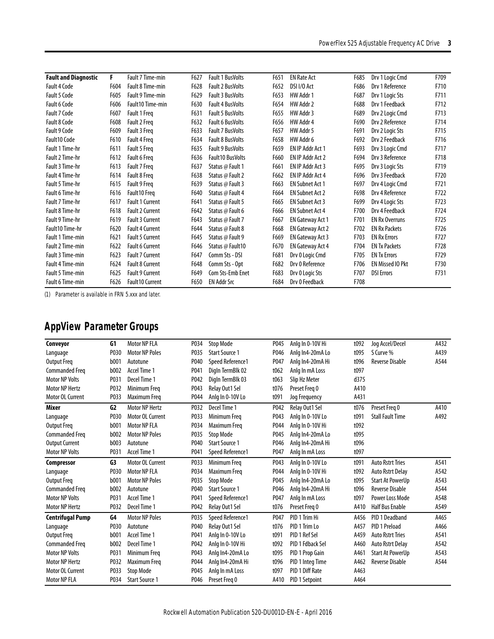| <b>Fault and Diagnostic</b> | F    | Fault 7 Time-min       | F627 | <b>Fault 1 BusVolts</b> | F651 | <b>EN Rate Act</b>      | F685 | Drv 1 Logic Cmd         | F709 |
|-----------------------------|------|------------------------|------|-------------------------|------|-------------------------|------|-------------------------|------|
| Fault 4 Code                | F604 | Fault 8 Time-min       | F628 | <b>Fault 2 BusVolts</b> | F652 | DSI I/O Act             | F686 | Dry 1 Reference         | F710 |
| Fault 5 Code                | F605 | Fault 9 Time-min       | F629 | <b>Fault 3 BusVolts</b> | F653 | HW Addr 1               | F687 | Drv 1 Logic Sts         | F711 |
| <b>Fault 6 Code</b>         | F606 | Fault10 Time-min       | F630 | <b>Fault 4 BusVolts</b> | F654 | HW Addr 2               | F688 | Drv 1 Feedback          | F712 |
| Fault 7 Code                | F607 | Fault 1 Freg           | F631 | <b>Fault 5 BusVolts</b> | F655 | HW Addr 3               | F689 | Drv 2 Logic Cmd         | F713 |
| Fault 8 Code                | F608 | Fault 2 Freq           | F632 | <b>Fault 6 BusVolts</b> | F656 | HW Addr 4               | F690 | Drv 2 Reference         | F714 |
| Fault 9 Code                | F609 | Fault 3 Freg           | F633 | <b>Fault 7 BusVolts</b> | F657 | HW Addr 5               | F691 | Drv 2 Logic Sts         | F715 |
| Fault10 Code                | F610 | Fault 4 Freg           | F634 | <b>Fault 8 BusVolts</b> | F658 | HW Addr 6               | F692 | Drv 2 Feedback          | F716 |
| Fault 1 Time-hr             | F611 | Fault 5 Freg           | F635 | <b>Fault 9 BusVolts</b> | F659 | EN IP Addr Act 1        | F693 | Drv 3 Logic Cmd         | F717 |
| Fault 2 Time-hr             | F612 | Fault 6 Freg           | F636 | <b>Fault10 BusVolts</b> | F660 | EN IP Addr Act 2        | F694 | Dry 3 Reference         | F718 |
| Fault 3 Time-hr             | F613 | Fault 7 Freg           | F637 | Status @ Fault 1        | F661 | EN IP Addr Act 3        | F695 | Drv 3 Logic Sts         | F719 |
| Fault 4 Time-hr             | F614 | Fault 8 Freg           | F638 | Status @ Fault 2        | F662 | <b>EN IP Addr Act 4</b> | F696 | Drv 3 Feedback          | F720 |
| Fault 5 Time-hr             | F615 | Fault 9 Freg           | F639 | Status @ Fault 3        | F663 | <b>EN Subnet Act 1</b>  | F697 | Drv 4 Logic Cmd         | F721 |
| Fault 6 Time-hr             | F616 | Fault10 Freg           | F640 | Status @ Fault 4        | F664 | <b>EN Subnet Act 2</b>  | F698 | Dry 4 Reference         | F722 |
| Fault 7 Time-hr             | F617 | <b>Fault 1 Current</b> | F641 | Status @ Fault 5        | F665 | <b>EN Subnet Act 3</b>  | F699 | Drv 4 Logic Sts         | F723 |
| Fault 8 Time-hr             | F618 | <b>Fault 2 Current</b> | F642 | Status @ Fault 6        | F666 | <b>EN Subnet Act 4</b>  | F700 | Drv 4 Feedback          | F724 |
| Fault 9 Time-hr             | F619 | <b>Fault 3 Current</b> | F643 | Status @ Fault 7        | F667 | <b>EN Gateway Act 1</b> | F701 | <b>EN Rx Overruns</b>   | F725 |
| Fault10 Time-hr             | F620 | <b>Fault 4 Current</b> | F644 | Status @ Fault 8        | F668 | <b>EN Gateway Act 2</b> | F702 | <b>EN Rx Packets</b>    | F726 |
| Fault 1 Time-min            | F621 | <b>Fault 5 Current</b> | F645 | Status @ Fault 9        | F669 | EN Gateway Act 3        | F703 | <b>EN Rx Errors</b>     | F727 |
| Fault 2 Time-min            | F622 | <b>Fault 6 Current</b> | F646 | Status @ Fault10        | F670 | EN Gateway Act 4        | F704 | <b>EN Tx Packets</b>    | F728 |
| Fault 3 Time-min            | F623 | <b>Fault 7 Current</b> | F647 | Comm Sts - DSI          | F681 | Drv 0 Logic Cmd         | F705 | <b>EN Tx Errors</b>     | F729 |
| <b>Fault 4 Time-min</b>     | F624 | <b>Fault 8 Current</b> | F648 | Comm Sts - Opt          | F682 | Drv 0 Reference         | F706 | <b>EN Missed IO Pkt</b> | F730 |
| Fault 5 Time-min            | F625 | <b>Fault 9 Current</b> | F649 | Com Sts-Emb Enet        | F683 | Drv 0 Logic Sts         | F707 | <b>DSI Errors</b>       | F731 |
| <b>Fault 6 Time-min</b>     | F626 | Fault 10 Current       | F650 | <b>EN Addr Src</b>      | F684 | Drv 0 Feedback          | F708 |                         |      |

(1) Parameter is available in FRN 5.xxx and later.

# **AppView Parameter Groups**

| Conveyor                | G1               | Motor NP FLA          | P034 | <b>Stop Mode</b>      | P045 | Anlg In 0-10V Hi | t092 | Jog Accel/Decel         | A432 |
|-------------------------|------------------|-----------------------|------|-----------------------|------|------------------|------|-------------------------|------|
| Language                | P030             | <b>Motor NP Poles</b> | P035 | <b>Start Source 1</b> | P046 | Anlg In4-20mA Lo | t095 | S Curve %               | A439 |
| Output Freq             | b001             | Autotune              | P040 | Speed Reference1      | P047 | Anlg In4-20mA Hi | t096 | <b>Reverse Disable</b>  | A544 |
| Commanded Freq          | b002             | Accel Time 1          | P041 | Digln TermBlk 02      | t062 | Anlg In mA Loss  | t097 |                         |      |
| <b>Motor NP Volts</b>   | P031             | Decel Time 1          | P042 | Digln TermBlk 03      | t063 | Slip Hz Meter    | d375 |                         |      |
| <b>Motor NP Hertz</b>   | P032             | Minimum Freg          | P043 | Relay Out1 Sel        | t076 | Preset Freg 0    | A410 |                         |      |
| <b>Motor OL Current</b> | P033             | Maximum Freg          | P044 | Anlg In 0-10V Lo      | t091 | Jog Frequency    | A431 |                         |      |
| Mixer                   | G <sub>2</sub>   | <b>Motor NP Hertz</b> | P032 | Decel Time 1          | P042 | Relay Out1 Sel   | t076 | Preset Freg 0           | A410 |
| Language                | P030             | Motor OL Current      | P033 | Minimum Freq          | P043 | Anla In 0-10V Lo | t091 | <b>Stall Fault Time</b> | A492 |
| <b>Output Freq</b>      | b <sub>001</sub> | <b>Motor NP FLA</b>   | P034 | Maximum Freg          | P044 | Anla In 0-10V Hi | t092 |                         |      |
| Commanded Freq          | b002             | <b>Motor NP Poles</b> | P035 | <b>Stop Mode</b>      | P045 | Anlg In4-20mA Lo | t095 |                         |      |
| <b>Output Current</b>   | b003             | Autotune              | P040 | <b>Start Source 1</b> | P046 | Anlg In4-20mA Hi | t096 |                         |      |
| <b>Motor NP Volts</b>   | P031             | Accel Time 1          | P041 | Speed Reference1      | P047 | Anlg In mA Loss  | t097 |                         |      |
| Compressor              | G3               | Motor OL Current      | P033 | Minimum Freg          | P043 | Anlg In 0-10V Lo | t091 | <b>Auto Rstrt Tries</b> | A541 |
| Language                | P030             | <b>Motor NP FLA</b>   | P034 | Maximum Freq          | P044 | Anlg In 0-10V Hi | t092 | <b>Auto Rstrt Delay</b> | A542 |
| <b>Output Freq</b>      | b <sub>001</sub> | <b>Motor NP Poles</b> | P035 | <b>Stop Mode</b>      | P045 | Anlg In4-20mA Lo | t095 | <b>Start At PowerUp</b> | A543 |
| <b>Commanded Freq</b>   | b002             | Autotune              | P040 | <b>Start Source 1</b> | P046 | Anlg In4-20mA Hi | t096 | <b>Reverse Disable</b>  | A544 |
| <b>Motor NP Volts</b>   | P031             | <b>Accel Time 1</b>   | P041 | Speed Reference1      | P047 | Anlg In mA Loss  | t097 | Power Loss Mode         | A548 |
| <b>Motor NP Hertz</b>   | P032             | Decel Time 1          | P042 | Relay Out1 Sel        | t076 | Preset Freg 0    | A410 | <b>Half Bus Enable</b>  | A549 |
| <b>Centrifugal Pump</b> | G4               | <b>Motor NP Poles</b> | P035 | Speed Reference1      | P047 | PID 1 Trim Hi    | A456 | PID 1 Deadband          | A465 |
| Language                | P030             | Autotune              | P040 | Relay Out1 Sel        | t076 | PID 1 Trim Lo    | A457 | PID 1 Preload           | A466 |
| Output Freq             | b <sub>001</sub> | Accel Time 1          | P041 | Anlg In 0-10V Lo      | t091 | PID 1 Ref Sel    | A459 | <b>Auto Rstrt Tries</b> | A541 |
| Commanded Freq          | b002             | Decel Time 1          | P042 | Anlg In 0-10V Hi      | t092 | PID 1 Fdback Sel | A460 | <b>Auto Rstrt Delay</b> | A542 |
| <b>Motor NP Volts</b>   | P031             | Minimum Freg          | P043 | Anlg In4-20mA Lo      | t095 | PID 1 Prop Gain  | A461 | <b>Start At PowerUp</b> | A543 |
| <b>Motor NP Hertz</b>   | P032             | Maximum Freg          | P044 | Anlg In4-20mA Hi      | t096 | PID 1 Integ Time | A462 | <b>Reverse Disable</b>  | A544 |
| <b>Motor OL Current</b> | P033             | <b>Stop Mode</b>      | P045 | Anlg In mA Loss       | t097 | PID 1 Diff Rate  | A463 |                         |      |
| Motor NP FLA            | P034             | <b>Start Source 1</b> | P046 | Preset Freg 0         | A410 | PID 1 Setpoint   | A464 |                         |      |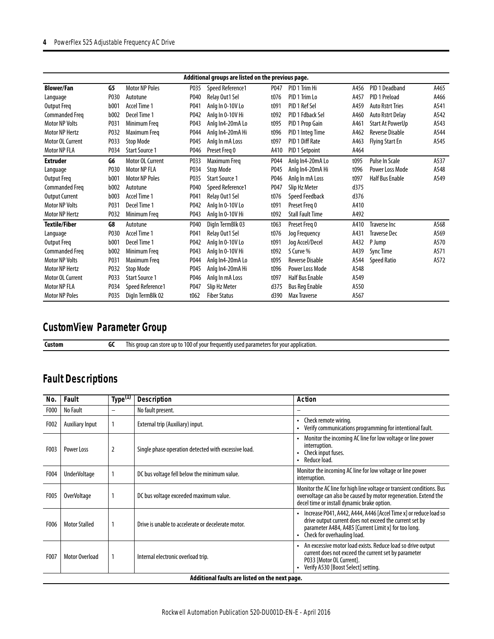### **4** PowerFlex 525 Adjustable Frequency AC Drive

| Additional groups are listed on the previous page. |      |                       |      |                       |      |                         |      |                         |      |  |  |
|----------------------------------------------------|------|-----------------------|------|-----------------------|------|-------------------------|------|-------------------------|------|--|--|
| <b>Blower/Fan</b>                                  | G5   | <b>Motor NP Poles</b> | P035 | Speed Reference1      | P047 | PID 1 Trim Hi           | A456 | PID 1 Deadband          | A465 |  |  |
| Language                                           | P030 | Autotune              | P040 | Relay Out1 Sel        | t076 | PID 1 Trim Lo           | A457 | PID 1 Preload           | A466 |  |  |
| <b>Output Freq</b>                                 | b001 | Accel Time 1          | P041 | Anla In 0-10V Lo      | t091 | PID 1 Ref Sel           | A459 | <b>Auto Rstrt Tries</b> | A541 |  |  |
| <b>Commanded Freq</b>                              | b002 | Decel Time 1          | P042 | Anlg In 0-10V Hi      | t092 | PID 1 Fdback Sel        | A460 | <b>Auto Rstrt Delay</b> | A542 |  |  |
| <b>Motor NP Volts</b>                              | P031 | Minimum Freg          | P043 | Anlq In4-20mA Lo      | t095 | PID 1 Prop Gain         | A461 | <b>Start At PowerUp</b> | A543 |  |  |
| <b>Motor NP Hertz</b>                              | P032 | Maximum Freg          | P044 | Anlg In4-20mA Hi      | t096 | PID 1 Integ Time        | A462 | <b>Reverse Disable</b>  | A544 |  |  |
| Motor OL Current                                   | P033 | <b>Stop Mode</b>      | P045 | Anlg In mA Loss       | t097 | PID 1 Diff Rate         | A463 | <b>Flying Start En</b>  | A545 |  |  |
| <b>Motor NP FLA</b>                                | P034 | <b>Start Source 1</b> | P046 | Preset Freg 0         | A410 | PID 1 Setpoint          | A464 |                         |      |  |  |
| <b>Extruder</b>                                    | G6   | Motor OL Current      | P033 | Maximum Freg          | P044 | Anlg In4-20mA Lo        | t095 | Pulse In Scale          | A537 |  |  |
| Language                                           | P030 | Motor NP FLA          | P034 | <b>Stop Mode</b>      | P045 | Anlg In4-20mA Hi        | t096 | Power Loss Mode         | A548 |  |  |
| <b>Output Freq</b>                                 | b001 | <b>Motor NP Poles</b> | P035 | <b>Start Source 1</b> | P046 | Anlg In mA Loss         | t097 | <b>Half Bus Enable</b>  | A549 |  |  |
| <b>Commanded Freq</b>                              | b002 | Autotune              | P040 | Speed Reference1      | P047 | Slip Hz Meter           | d375 |                         |      |  |  |
| <b>Output Current</b>                              | b003 | Accel Time 1          | P041 | Relay Out1 Sel        | t076 | <b>Speed Feedback</b>   | d376 |                         |      |  |  |
| <b>Motor NP Volts</b>                              | P031 | Decel Time 1          | P042 | Anlg In 0-10V Lo      | t091 | Preset Frea 0           | A410 |                         |      |  |  |
| <b>Motor NP Hertz</b>                              | P032 | Minimum Freq          | P043 | Anlg In 0-10V Hi      | t092 | <b>Stall Fault Time</b> | A492 |                         |      |  |  |
| <b>Textile/Fiber</b>                               | G8   | Autotune              | P040 | Digln TermBlk 03      | t063 | Preset Freg 0           | A410 | <b>Traverse Inc.</b>    | A568 |  |  |
| Language                                           | P030 | Accel Time 1          | P041 | Relay Out1 Sel        | t076 | Jog Frequency           | A431 | <b>Traverse Dec</b>     | A569 |  |  |
| Output Freq                                        | b001 | Decel Time 1          | P042 | Anla In 0-10V Lo      | t091 | Joa Accel/Decel         | A432 | P Jump                  | A570 |  |  |
| <b>Commanded Freg</b>                              | b002 | Minimum Frea          | P043 | Anla In 0-10V Hi      | t092 | S Curve %               | A439 | <b>Sync Time</b>        | A571 |  |  |
| <b>Motor NP Volts</b>                              | P031 | Maximum Freg          | P044 | Anlg In4-20mA Lo      | t095 | <b>Reverse Disable</b>  | A544 | <b>Speed Ratio</b>      | A572 |  |  |
| <b>Motor NP Hertz</b>                              | P032 | <b>Stop Mode</b>      | P045 | Anlg In4-20mA Hi      | t096 | Power Loss Mode         | A548 |                         |      |  |  |
| <b>Motor OL Current</b>                            | P033 | <b>Start Source 1</b> | P046 | Anlg In mA Loss       | t097 | <b>Half Bus Enable</b>  | A549 |                         |      |  |  |
| Motor NP FLA                                       | P034 | Speed Reference1      | P047 | Slip Hz Meter         | d375 | <b>Bus Reg Enable</b>   | A550 |                         |      |  |  |
| <b>Motor NP Poles</b>                              | P035 | DigIn TermBlk 02      | t062 | <b>Fiber Status</b>   | d390 | <b>Max Traverse</b>     | A567 |                         |      |  |  |

## **CustomView Parameter Group**

**Custom GC** This group can store up to 100 of your frequently used parameters for your application.

# **Fault Descriptions**

| No.  | Fault                  | Type <sup>(1)</sup> | <b>Description</b>                                   | <b>Action</b>                                                                                                                                                                                                      |
|------|------------------------|---------------------|------------------------------------------------------|--------------------------------------------------------------------------------------------------------------------------------------------------------------------------------------------------------------------|
| F000 | No Fault               | $\qquad \qquad$     | No fault present.                                    |                                                                                                                                                                                                                    |
| F002 | <b>Auxiliary Input</b> |                     | External trip (Auxiliary) input.                     | Check remote wiring.<br>Verify communications programming for intentional fault.                                                                                                                                   |
| F003 | Power Loss             | 2                   | Single phase operation detected with excessive load. | Monitor the incoming AC line for low voltage or line power<br>interruption.<br>Check input fuses.<br>Reduce load.                                                                                                  |
| F004 | <b>UnderVoltage</b>    |                     | DC bus voltage fell below the minimum value.         | Monitor the incoming AC line for low voltage or line power<br>interruption.                                                                                                                                        |
| F005 | <b>OverVoltage</b>     |                     | DC bus voltage exceeded maximum value.               | Monitor the AC line for high line voltage or transient conditions. Bus<br>overvoltage can also be caused by motor regeneration. Extend the<br>decel time or install dynamic brake option.                          |
| F006 | <b>Motor Stalled</b>   |                     | Drive is unable to accelerate or decelerate motor.   | Increase P041, A442, A444, A446 [Accel Time x] or reduce load so<br>drive output current does not exceed the current set by<br>parameter A484, A485 [Current Limit x] for too long.<br>Check for overhauling load. |
| F007 | <b>Motor Overload</b>  |                     | Internal electronic overload trip.                   | An excessive motor load exists. Reduce load so drive output<br>current does not exceed the current set by parameter<br>P033 [Motor OL Current].<br>Verify A530 [Boost Select] setting.                             |
|      |                        |                     | Additional faults are listed on the next page.       |                                                                                                                                                                                                                    |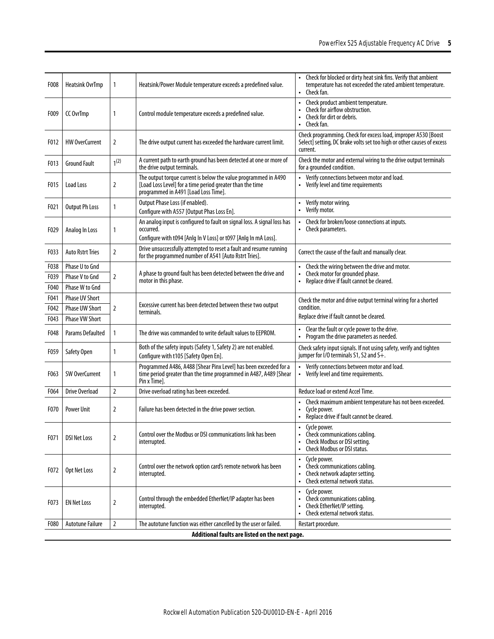| F008 | <b>Heatsink OvrTmp</b>  | $\mathbf{1}$     | Heatsink/Power Module temperature exceeds a predefined value.                                                                                                        | Check for blocked or dirty heat sink fins. Verify that ambient<br>temperature has not exceeded the rated ambient temperature.<br>Check fan.<br>$\bullet$ |
|------|-------------------------|------------------|----------------------------------------------------------------------------------------------------------------------------------------------------------------------|----------------------------------------------------------------------------------------------------------------------------------------------------------|
| F009 | CC OvrTmp               | 1                | Control module temperature exceeds a predefined value.                                                                                                               | Check product ambient temperature.<br>Check for airflow obstruction.<br>Check for dirt or debris.<br>Check fan.                                          |
| F012 | <b>HW OverCurrent</b>   | 2                | The drive output current has exceeded the hardware current limit.                                                                                                    | Check programming. Check for excess load, improper A530 [Boost<br>Select] setting, DC brake volts set too high or other causes of excess<br>current.     |
| F013 | <b>Ground Fault</b>     | 1 <sup>(2)</sup> | A current path to earth ground has been detected at one or more of<br>the drive output terminals.                                                                    | Check the motor and external wiring to the drive output terminals<br>for a grounded condition.                                                           |
| F015 | Load Loss               | 2                | The output torque current is below the value programmed in A490<br>[Load Loss Level] for a time period greater than the time<br>programmed in A491 [Load Loss Time]. | • Verify connections between motor and load.<br>• Verify level and time requirements                                                                     |
| F021 | <b>Output Ph Loss</b>   | 1                | Output Phase Loss (if enabled).<br>Configure with A557 [Output Phas Loss En].                                                                                        | Verify motor wiring.<br>$\bullet$<br>• Verify motor.                                                                                                     |
| F029 | Analog In Loss          | 1                | An analog input is configured to fault on signal loss. A signal loss has<br>occurred.<br>Configure with t094 [Anlg In V Loss] or t097 [Anlg In mA Loss].             | Check for broken/loose connections at inputs.<br>• Check parameters.                                                                                     |
| F033 | <b>Auto Rstrt Tries</b> | 2                | Drive unsuccessfully attempted to reset a fault and resume running<br>for the programmed number of A541 [Auto Rstrt Tries].                                          | Correct the cause of the fault and manually clear.                                                                                                       |
| F038 | <b>Phase U to Gnd</b>   |                  |                                                                                                                                                                      | Check the wiring between the drive and motor.                                                                                                            |
| F039 | <b>Phase V to Gnd</b>   | 2                | A phase to ground fault has been detected between the drive and<br>motor in this phase.                                                                              | Check motor for grounded phase.<br>$\bullet$<br>Replace drive if fault cannot be cleared.                                                                |
| F040 | Phase W to Gnd          |                  |                                                                                                                                                                      |                                                                                                                                                          |
| F041 | <b>Phase UV Short</b>   |                  |                                                                                                                                                                      | Check the motor and drive output terminal wiring for a shorted                                                                                           |
| F042 | <b>Phase UW Short</b>   | 2                | Excessive current has been detected between these two output<br>terminals.                                                                                           | condition.                                                                                                                                               |
| F043 | <b>Phase VW Short</b>   |                  |                                                                                                                                                                      | Replace drive if fault cannot be cleared.                                                                                                                |
| F048 | <b>Params Defaulted</b> | $\mathbf{1}$     | The drive was commanded to write default values to EEPROM.                                                                                                           | Clear the fault or cycle power to the drive.<br>$\bullet$<br>Program the drive parameters as needed.                                                     |
| F059 | Safety Open             | 1                | Both of the safety inputs (Safety 1, Safety 2) are not enabled.<br>Configure with t105 [Safety Open En].                                                             | Check safety input signals. If not using safety, verify and tighten<br>jumper for I/O terminals S1, S2 and S+.                                           |
| F063 | <b>SW OverCurrent</b>   | 1                | Programmed A486, A488 [Shear Pinx Level] has been exceeded for a<br>time period greater than the time programmed in A487, A489 [Shear<br>Pin x Time].                | Verify connections between motor and load.<br>• Verify level and time requirements.                                                                      |
| F064 | Drive Overload          | $\overline{2}$   | Drive overload rating has been exceeded.                                                                                                                             | Reduce load or extend Accel Time.                                                                                                                        |
| F070 | <b>Power Unit</b>       | 2                | Failure has been detected in the drive power section.                                                                                                                | Check maximum ambient temperature has not been exceeded.<br>Cycle power.<br>Replace drive if fault cannot be cleared.                                    |
| F071 | <b>DSI Net Loss</b>     | 2                | Control over the Modbus or DSI communications link has been<br>interrupted.                                                                                          | Cycle power.<br>Check communications cabling.<br>Check Modbus or DSI setting.<br>Check Modbus or DSI status.<br>$\bullet$                                |
| F072 | Opt Net Loss            | 2                | Control over the network option card's remote network has been<br>interrupted.                                                                                       | Cycle power.<br>$\bullet$<br>• Check communications cabling.<br>Check network adapter setting.<br>Check external network status.<br>$\bullet$            |
| F073 | <b>EN Net Loss</b>      | 2                | Control through the embedded EtherNet/IP adapter has been<br>interrupted.                                                                                            | Cycle power.<br>$\bullet$<br>Check communications cabling.<br>Check EtherNet/IP setting.<br>$\bullet$<br>Check external network status.<br>$\bullet$     |
| F080 | <b>Autotune Failure</b> | 2                | The autotune function was either cancelled by the user or failed.                                                                                                    | Restart procedure.                                                                                                                                       |
|      |                         |                  | Additional faults are listed on the next page.                                                                                                                       |                                                                                                                                                          |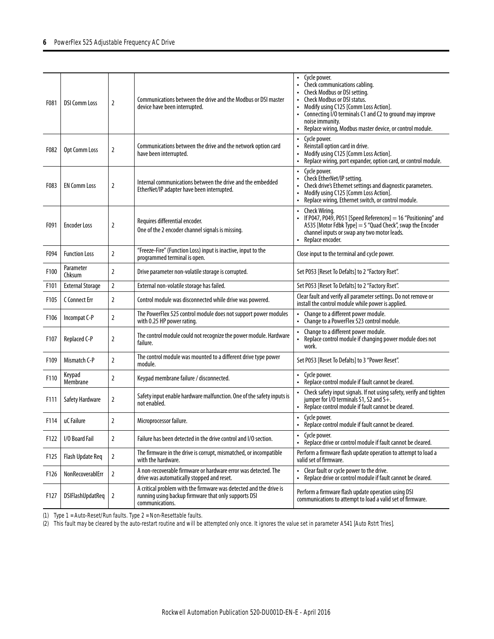| F081             | <b>DSI Comm Loss</b>    | $\overline{2}$ | Communications between the drive and the Modbus or DSI master<br>device have been interrupted.                                                | Cycle power.<br>$\bullet$<br>Check communications cabling.<br>Check Modbus or DSI setting.<br><b>Check Modbus or DSI status.</b><br>Modify using C125 [Comm Loss Action].<br>$\bullet$<br>Connecting I/O terminals C1 and C2 to ground may improve<br>$\bullet$<br>noise immunity.<br>Replace wiring, Modbus master device, or control module.<br>$\bullet$ |
|------------------|-------------------------|----------------|-----------------------------------------------------------------------------------------------------------------------------------------------|-------------------------------------------------------------------------------------------------------------------------------------------------------------------------------------------------------------------------------------------------------------------------------------------------------------------------------------------------------------|
| F082             | Opt Comm Loss           | 2              | Communications between the drive and the network option card<br>have been interrupted.                                                        | Cycle power.<br>Reinstall option card in drive.<br>$\bullet$<br>Modify using C125 [Comm Loss Action].<br>Replace wiring, port expander, option card, or control module.<br>$\bullet$                                                                                                                                                                        |
| F083             | <b>EN Comm Loss</b>     | $\overline{2}$ | Internal communications between the drive and the embedded<br>EtherNet/IP adapter have been interrupted.                                      | Cycle power.<br>$\bullet$<br>Check EtherNet/IP setting.<br>Check drive's Ethernet settings and diagnostic parameters.<br>Modify using C125 [Comm Loss Action].<br>Replace wiring, Ethernet switch, or control module.                                                                                                                                       |
| F091             | <b>Encoder Loss</b>     | $\overline{2}$ | Requires differential encoder.<br>One of the 2 encoder channel signals is missing.                                                            | Check Wiring.<br>$\bullet$<br>• If P047, P049, P051 [Speed Referencex] = 16 "Positioning" and<br>A535 [Motor Fdbk Type] = 5 "Quad Check", swap the Encoder<br>channel inputs or swap any two motor leads.<br>Replace encoder.<br>$\bullet$                                                                                                                  |
| F094             | <b>Function Loss</b>    | 2              | "Freeze-Fire" (Function Loss) input is inactive, input to the<br>programmed terminal is open.                                                 | Close input to the terminal and cycle power.                                                                                                                                                                                                                                                                                                                |
| F100             | Parameter<br>Chksum     | $\overline{2}$ | Drive parameter non-volatile storage is corrupted.                                                                                            | Set P053 [Reset To Defalts] to 2 "Factory Rset".                                                                                                                                                                                                                                                                                                            |
| F101             | <b>External Storage</b> | $\overline{2}$ | External non-volatile storage has failed.                                                                                                     | Set P053 [Reset To Defalts] to 2 "Factory Rset".                                                                                                                                                                                                                                                                                                            |
| F105             | C Connect Err           | $\overline{2}$ | Control module was disconnected while drive was powered.                                                                                      | Clear fault and verify all parameter settings. Do not remove or<br>install the control module while power is applied.                                                                                                                                                                                                                                       |
| F106             | Incompat C-P            | $\overline{2}$ | The PowerFlex 525 control module does not support power modules<br>with 0.25 HP power rating.                                                 | Change to a different power module.<br>• Change to a PowerFlex 523 control module.                                                                                                                                                                                                                                                                          |
| F <sub>107</sub> | Replaced C-P            | $\overline{2}$ | The control module could not recognize the power module. Hardware<br>failure.                                                                 | Change to a different power module.<br>• Replace control module if changing power module does not<br>work.                                                                                                                                                                                                                                                  |
| F109             | Mismatch C-P            | 2              | The control module was mounted to a different drive type power<br>module.                                                                     | Set P053 [Reset To Defalts] to 3 "Power Reset".                                                                                                                                                                                                                                                                                                             |
| F110             | Keypad<br>Membrane      | $\overline{2}$ | Keypad membrane failure / disconnected.                                                                                                       | • Cycle power.<br>• Replace control module if fault cannot be cleared.                                                                                                                                                                                                                                                                                      |
| F111             | Safety Hardware         | $\overline{2}$ | Safety input enable hardware malfunction. One of the safety inputs is<br>not enabled.                                                         | • Check safety input signals. If not using safety, verify and tighten<br>jumper for I/O terminals S1, S2 and S+.<br>• Replace control module if fault cannot be cleared.                                                                                                                                                                                    |
| F114             | uC Failure              | 2              | Microprocessor failure.                                                                                                                       | Cycle power.<br>$\bullet$<br>Replace control module if fault cannot be cleared.                                                                                                                                                                                                                                                                             |
| F122             | I/O Board Fail          | $\overline{2}$ | Failure has been detected in the drive control and I/O section.                                                                               | Cycle power.<br>Replace drive or control module if fault cannot be cleared.                                                                                                                                                                                                                                                                                 |
| F125             | Flash Update Req        | $\mathbf{2}$   | The firmware in the drive is corrupt, mismatched, or incompatible<br>with the hardware.                                                       | Perform a firmware flash update operation to attempt to load a<br>valid set of firmware.                                                                                                                                                                                                                                                                    |
| F126             | NonRecoverablErr        | $\overline{2}$ | A non-recoverable firmware or hardware error was detected. The<br>drive was automatically stopped and reset.                                  | • Clear fault or cycle power to the drive.<br>Replace drive or control module if fault cannot be cleared.<br>$\bullet$                                                                                                                                                                                                                                      |
| F127             | DSIFlashUpdatReq        | 2              | A critical problem with the firmware was detected and the drive is<br>running using backup firmware that only supports DSI<br>communications. | Perform a firmware flash update operation using DSI<br>communications to attempt to load a valid set of firmware.                                                                                                                                                                                                                                           |

(1) Type 1 = Auto-Reset/Run faults. Type 2 = Non-Resettable faults.

(2) This fault may be cleared by the auto-restart routine and will be attempted only once. It ignores the value set in parameter A541 [Auto Rstrt Tries].